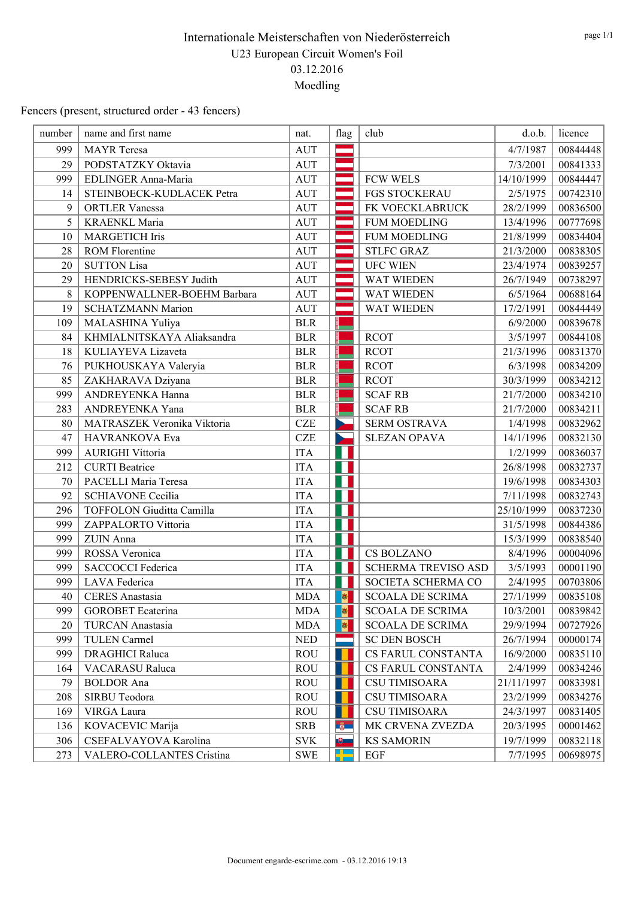Fencers (present, structured order - 43 fencers)

| number | name and first name         | nat.       | flag | club                    | d.o.b.     | licence  |
|--------|-----------------------------|------------|------|-------------------------|------------|----------|
| 999    | <b>MAYR</b> Teresa          | <b>AUT</b> |      |                         | 4/7/1987   | 00844448 |
| 29     | PODSTATZKY Oktavia          | <b>AUT</b> |      |                         | 7/3/2001   | 00841333 |
| 999    | EDLINGER Anna-Maria         | <b>AUT</b> |      | <b>FCW WELS</b>         | 14/10/1999 | 00844447 |
| 14     | STEINBOECK-KUDLACEK Petra   | <b>AUT</b> |      | <b>FGS STOCKERAU</b>    | 2/5/1975   | 00742310 |
| 9      | <b>ORTLER Vanessa</b>       | <b>AUT</b> |      | FK VOECKLABRUCK         | 28/2/1999  | 00836500 |
| 5      | <b>KRAENKL</b> Maria        | <b>AUT</b> |      | <b>FUM MOEDLING</b>     | 13/4/1996  | 00777698 |
| 10     | <b>MARGETICH Iris</b>       | <b>AUT</b> |      | <b>FUM MOEDLING</b>     | 21/8/1999  | 00834404 |
| 28     | <b>ROM Florentine</b>       | <b>AUT</b> |      | <b>STLFC GRAZ</b>       | 21/3/2000  | 00838305 |
| 20     | <b>SUTTON Lisa</b>          | <b>AUT</b> |      | <b>UFC WIEN</b>         | 23/4/1974  | 00839257 |
| 29     | HENDRICKS-SEBESY Judith     | <b>AUT</b> |      | WAT WIEDEN              | 26/7/1949  | 00738297 |
| 8      | KOPPENWALLNER-BOEHM Barbara | <b>AUT</b> |      | WAT WIEDEN              | 6/5/1964   | 00688164 |
| 19     | <b>SCHATZMANN Marion</b>    | <b>AUT</b> |      | <b>WAT WIEDEN</b>       | 17/2/1991  | 00844449 |
| 109    | MALASHINA Yuliya            | <b>BLR</b> |      |                         | 6/9/2000   | 00839678 |
| 84     | KHMIALNITSKAYA Aliaksandra  | <b>BLR</b> |      | <b>RCOT</b>             | 3/5/1997   | 00844108 |
| 18     | KULIAYEVA Lizaveta          | <b>BLR</b> |      | <b>RCOT</b>             | 21/3/1996  | 00831370 |
| 76     | PUKHOUSKAYA Valeryia        | <b>BLR</b> |      | <b>RCOT</b>             | 6/3/1998   | 00834209 |
| 85     | ZAKHARAVA Dziyana           | <b>BLR</b> |      | <b>RCOT</b>             | 30/3/1999  | 00834212 |
| 999    | ANDREYENKA Hanna            | <b>BLR</b> |      | <b>SCAF RB</b>          | 21/7/2000  | 00834210 |
| 283    | ANDREYENKA Yana             | <b>BLR</b> |      | <b>SCAF RB</b>          | 21/7/2000  | 00834211 |
| 80     | MATRASZEK Veronika Viktoria | <b>CZE</b> |      | <b>SERM OSTRAVA</b>     | 1/4/1998   | 00832962 |
| 47     | HAVRANKOVA Eva              | <b>CZE</b> |      | <b>SLEZAN OPAVA</b>     | 14/1/1996  | 00832130 |
| 999    | <b>AURIGHI Vittoria</b>     | <b>ITA</b> |      |                         | 1/2/1999   | 00836037 |
| 212    | <b>CURTI</b> Beatrice       | <b>ITA</b> |      |                         | 26/8/1998  | 00832737 |
| 70     | PACELLI Maria Teresa        | <b>ITA</b> |      |                         | 19/6/1998  | 00834303 |
| 92     | <b>SCHIAVONE Cecilia</b>    | <b>ITA</b> |      |                         | 7/11/1998  | 00832743 |
| 296    | TOFFOLON Giuditta Camilla   | <b>ITA</b> |      |                         | 25/10/1999 | 00837230 |
| 999    | ZAPPALORTO Vittoria         | <b>ITA</b> |      |                         | 31/5/1998  | 00844386 |
| 999    | <b>ZUIN</b> Anna            | <b>ITA</b> |      |                         | 15/3/1999  | 00838540 |
| 999    | ROSSA Veronica              | <b>ITA</b> | ш    | <b>CS BOLZANO</b>       | 8/4/1996   | 00004096 |
| 999    | <b>SACCOCCI Federica</b>    | <b>ITA</b> |      | SCHERMA TREVISO ASD     | 3/5/1993   | 00001190 |
| 999    | LAVA Federica               | <b>ITA</b> | 11   | SOCIETA SCHERMA CO      | 2/4/1995   | 00703806 |
| 40     | <b>CERES</b> Anastasia      | <b>MDA</b> | 國    | <b>SCOALA DE SCRIMA</b> | 27/1/1999  | 00835108 |
| 999    | <b>GOROBET</b> Ecaterina    | <b>MDA</b> | ø.   | <b>SCOALA DE SCRIMA</b> | 10/3/2001  | 00839842 |
| 20     | <b>TURCAN</b> Anastasia     | <b>MDA</b> | ø    | <b>SCOALA DE SCRIMA</b> | 29/9/1994  | 00727926 |
| 999    | <b>TULEN</b> Carmel         | <b>NED</b> |      | <b>SC DEN BOSCH</b>     | 26/7/1994  | 00000174 |
| 999    | <b>DRAGHICI Raluca</b>      | <b>ROU</b> |      | CS FARUL CONSTANTA      | 16/9/2000  | 00835110 |
| 164    | <b>VACARASU Raluca</b>      | <b>ROU</b> |      | CS FARUL CONSTANTA      | 2/4/1999   | 00834246 |
| 79     | <b>BOLDOR</b> Ana           | <b>ROU</b> |      | <b>CSU TIMISOARA</b>    | 21/11/1997 | 00833981 |
| 208    | SIRBU Teodora               | <b>ROU</b> |      | CSU TIMISOARA           | 23/2/1999  | 00834276 |
| 169    | VIRGA Laura                 | <b>ROU</b> |      | CSU TIMISOARA           | 24/3/1997  | 00831405 |
| 136    | KOVACEVIC Marija            | <b>SRB</b> | -6-  | MK CRVENA ZVEZDA        | 20/3/1995  | 00001462 |
| 306    | CSEFALVAYOVA Karolina       | <b>SVK</b> | سال  | <b>KS SAMORIN</b>       | 19/7/1999  | 00832118 |
| 273    | VALERO-COLLANTES Cristina   | <b>SWE</b> |      | EGF                     | 7/7/1995   | 00698975 |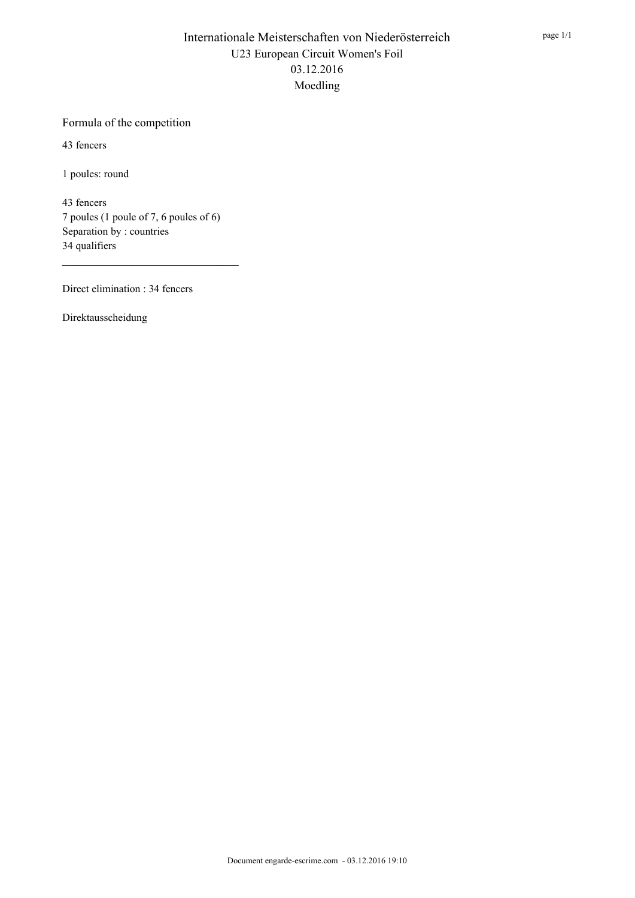#### Formula of the competition

43 fencers

1 poules: round

43 fencers 7 poules (1 poule of 7, 6 poules of 6) Separation by : countries 34 qualifiers

Direct elimination : 34 fencers

Direktausscheidung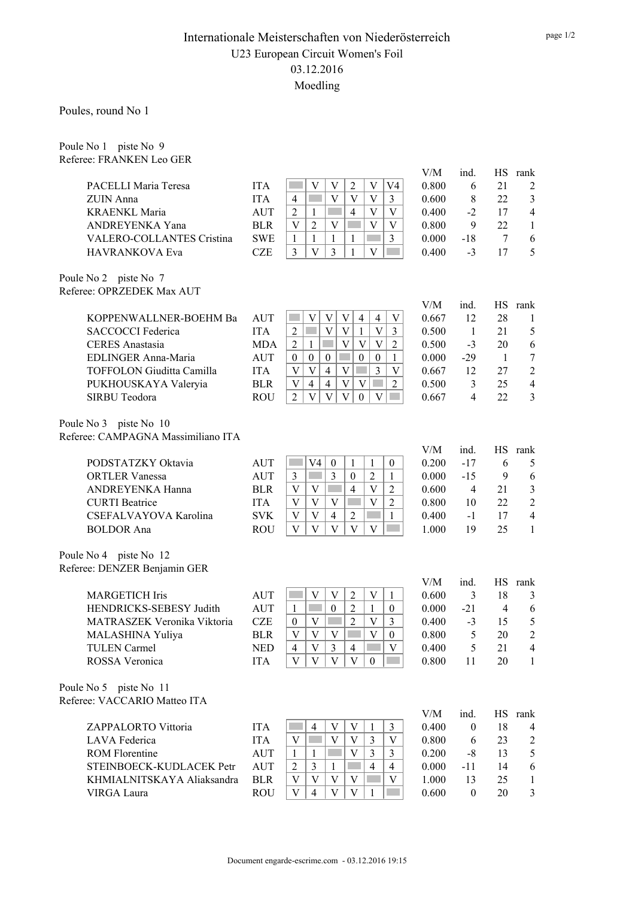Poules, round No 1

Poule No 1 piste No 9 Referee: FRANKEN Leo GER

|                                                    |            |                                                                                                                  | V/M   | ind.             | HS             | rank           |
|----------------------------------------------------|------------|------------------------------------------------------------------------------------------------------------------|-------|------------------|----------------|----------------|
| PACELLI Maria Teresa                               | <b>ITA</b> | $\sqrt{2}$<br>V<br>V<br>V<br>V4                                                                                  | 0.800 | 6                | 21             | $\overline{2}$ |
| ZUIN Anna                                          | <b>ITA</b> | V<br>$\overline{4}$<br>V<br>V<br>3                                                                               | 0.600 | 8                | 22             | $\mathfrak{Z}$ |
| <b>KRAENKL Maria</b>                               | <b>AUT</b> | $\overline{2}$<br>$\mathbf{V}$<br>$\overline{4}$<br>V<br>1<br><b>Common</b>                                      | 0.400 | $-2$             | 17             | $\overline{4}$ |
| ANDREYENKA Yana                                    | <b>BLR</b> | V<br>2<br>V<br>V<br>V                                                                                            | 0.800 | 9                | 22             | $\mathbf{1}$   |
| <b>VALERO-COLLANTES Cristina</b>                   | <b>SWE</b> | $\mathbf{1}$<br>$\mathbf{1}$<br>3<br>$\mathbf{1}$<br>1                                                           | 0.000 | $-18$            | 7              | 6              |
| HAVRANKOVA Eva                                     | CZE        | $\overline{3}$<br>$\overline{V}$<br>3<br>$\mathbf{1}$<br>$\mathbf{V}$                                            | 0.400 | $-3$             | 17             | 5              |
|                                                    |            |                                                                                                                  |       |                  |                |                |
| Poule No 2 piste No 7<br>Referee: OPRZEDEK Max AUT |            |                                                                                                                  |       |                  |                |                |
|                                                    |            |                                                                                                                  | V/M   | ind.             | HS             | rank           |
| KOPPENWALLNER-BOEHM Ba                             | <b>AUT</b> | $\mathbf V$<br>V<br>V<br>V<br>$\overline{4}$<br>$\overline{4}$                                                   | 0.667 | 12               | 28             | $\mathbf{1}$   |
| SACCOCCI Federica                                  | <b>ITA</b> | $\mathbf{V}$<br>$\overline{2}$<br>$\mathbf V$<br>$\overline{V}$<br>$\mathbf{1}$<br>3                             | 0.500 | $\mathbf{1}$     | 21             | 5              |
| <b>CERES</b> Anastasia                             | <b>MDA</b> | $\overline{\mathbf{V}}$<br>$\overline{2}$<br>V<br>$\overline{V}$<br>$\mathbf{1}$<br>$\overline{2}$               | 0.500 | $-3$             | 20             | 6              |
| EDLINGER Anna-Maria                                | <b>AUT</b> | $\boldsymbol{0}$<br>$\boldsymbol{0}$<br>$\boldsymbol{0}$<br>$\boldsymbol{0}$<br>$\boldsymbol{0}$<br>$\mathbf{1}$ | 0.000 | $-29$            | $\mathbf{1}$   | $\overline{7}$ |
| <b>TOFFOLON Giuditta Camilla</b>                   | <b>ITA</b> | $\mathbf V$<br>$\overline{4}$<br>$\ensuremath{\mathbf{V}}$<br>$\overline{3}$<br>V<br>V                           | 0.667 | 12               | 27             | $\sqrt{2}$     |
| PUKHOUSKAYA Valeryia                               | <b>BLR</b> | $\overline{V}$<br>$\overline{4}$<br>$\ensuremath{\mathbf{V}}$<br>$\overline{4}$<br>V<br>$\overline{2}$           | 0.500 | 3                | 25             | $\overline{4}$ |
| <b>SIRBU Teodora</b>                               | <b>ROU</b> | $\overline{2}$<br>$\mathbf{V}$<br>$\mathbf{V}$<br>$\overline{\mathsf{V}}$<br>V<br>$\boldsymbol{0}$               | 0.667 | $\overline{4}$   | 22             | 3              |
|                                                    |            |                                                                                                                  |       |                  |                |                |
| Poule No 3 piste No 10                             |            |                                                                                                                  |       |                  |                |                |
| Referee: CAMPAGNA Massimiliano ITA                 |            |                                                                                                                  |       |                  |                |                |
|                                                    |            |                                                                                                                  | V/M   | ind.             |                | HS rank        |
| PODSTATZKY Oktavia                                 | <b>AUT</b> | V4<br>$\boldsymbol{0}$<br>$\mathbf{1}$<br>1<br>$\mathbf{0}$                                                      | 0.200 | $-17$            | 6              | 5              |
| <b>ORTLER Vanessa</b>                              | <b>AUT</b> | $\overline{3}$<br>$\overline{2}$<br>$\mathfrak{Z}$<br>$\boldsymbol{0}$<br>$\mathbf{1}$                           | 0.000 | $-15$            | 9              | 6              |
| ANDREYENKA Hanna                                   | <b>BLR</b> | $\mathbf V$<br>$\overline{4}$<br>$\mathbf V$<br>$\mathbf V$<br>$\sqrt{2}$                                        | 0.600 | $\overline{4}$   | 21             | $\mathfrak{Z}$ |
| <b>CURTI</b> Beatrice                              | <b>ITA</b> | $\mathbf V$<br>$\overline{V}$<br>$\overline{V}$<br>$\overline{V}$<br>$\sqrt{2}$                                  | 0.800 | 10               | 22             | $\overline{2}$ |
| CSEFALVAYOVA Karolina                              | <b>SVK</b> | $\sqrt{2}$<br>$\ensuremath{\mathbf{V}}$<br>V<br>$\overline{4}$<br>$\mathbf{1}$                                   | 0.400 | $-1$             | 17             | $\overline{4}$ |
| <b>BOLDOR</b> Ana                                  | <b>ROU</b> | V<br>V<br>$\overline{V}$<br>V<br>V                                                                               | 1.000 | 19               | 25             | $\mathbf{1}$   |
|                                                    |            |                                                                                                                  |       |                  |                |                |
| Poule No 4 piste No 12                             |            |                                                                                                                  |       |                  |                |                |
| Referee: DENZER Benjamin GER                       |            |                                                                                                                  |       |                  |                |                |
|                                                    |            |                                                                                                                  | V/M   | ind.             | <b>HS</b>      | rank           |
| <b>MARGETICH Iris</b>                              | <b>AUT</b> | $\sqrt{2}$<br>V<br>V<br>$\mathbf{1}$<br>V                                                                        | 0.600 | 3                | 18             | 3              |
| HENDRICKS-SEBESY Judith                            | <b>AUT</b> | $\boldsymbol{0}$<br>$\overline{2}$<br>$\mathbf{1}$<br>$\mathbf{1}$<br>$\boldsymbol{0}$                           | 0.000 | $-21$            | $\overline{4}$ | 6              |
| MATRASZEK Veronika Viktoria                        | <b>CZE</b> | $\overline{2}$<br>$\overline{\mathsf{V}}$<br>V<br>3<br>$\bf{0}$                                                  | 0.400 | $-3$             | 15             | 5              |
| MALASHINA Yuliya                                   | <b>BLR</b> | $\mathbf V$<br>$\boldsymbol{\mathrm{V}}$<br>$\mathbf V$<br>$\mathbf{V}$<br>$\boldsymbol{0}$                      | 0.800 | 5                | 20             | $\overline{2}$ |
| <b>TULEN</b> Carmel                                | <b>NED</b> | 4<br>3<br>V<br>4                                                                                                 | 0.400 | 5                | 21             | $\overline{4}$ |
| ROSSA Veronica                                     | <b>ITA</b> | $\mathbf{V}$<br>V<br>V<br>V<br>$\boldsymbol{0}$                                                                  | 0.800 | 11               | 20             | $\mathbf{1}$   |
|                                                    |            |                                                                                                                  |       |                  |                |                |
| Poule No 5 piste No 11                             |            |                                                                                                                  |       |                  |                |                |
| Referee: VACCARIO Matteo ITA                       |            |                                                                                                                  |       |                  |                |                |
|                                                    |            |                                                                                                                  | V/M   | ind.             |                | HS rank        |
| ZAPPALORTO Vittoria                                | <b>ITA</b> | V<br>V<br>3<br>4<br>1                                                                                            | 0.400 | $\boldsymbol{0}$ | 18             | 4              |
| LAVA Federica                                      | <b>ITA</b> | $\mathbf V$<br>$\overline{\mathbf{V}}$<br>$\overline{3}$<br>V<br>V                                               | 0.800 | 6                | 23             | $\overline{2}$ |
| <b>ROM Florentine</b>                              | <b>AUT</b> | $\mathbf V$<br>$\overline{3}$<br>$\mathbf{1}$<br>3<br>1                                                          | 0.200 | $-8$             | 13             | 5              |
| STEINBOECK-KUDLACEK Petr                           | <b>AUT</b> | $\overline{4}$<br>$\overline{2}$<br>$\overline{4}$<br>3<br>1                                                     | 0.000 | $-11$            | 14             | 6              |
| KHMIALNITSKAYA Aliaksandra                         | <b>BLR</b> | V<br>V<br>V<br>V<br>V                                                                                            | 1.000 | 13               | 25             | $\mathbf{1}$   |
| VIRGA Laura                                        | <b>ROU</b> | $\mathbf{V}$<br>V<br>$\mathbf{V}$<br>$\overline{4}$                                                              | 0.600 | $\boldsymbol{0}$ | 20             | $\mathfrak{Z}$ |
|                                                    |            |                                                                                                                  |       |                  |                |                |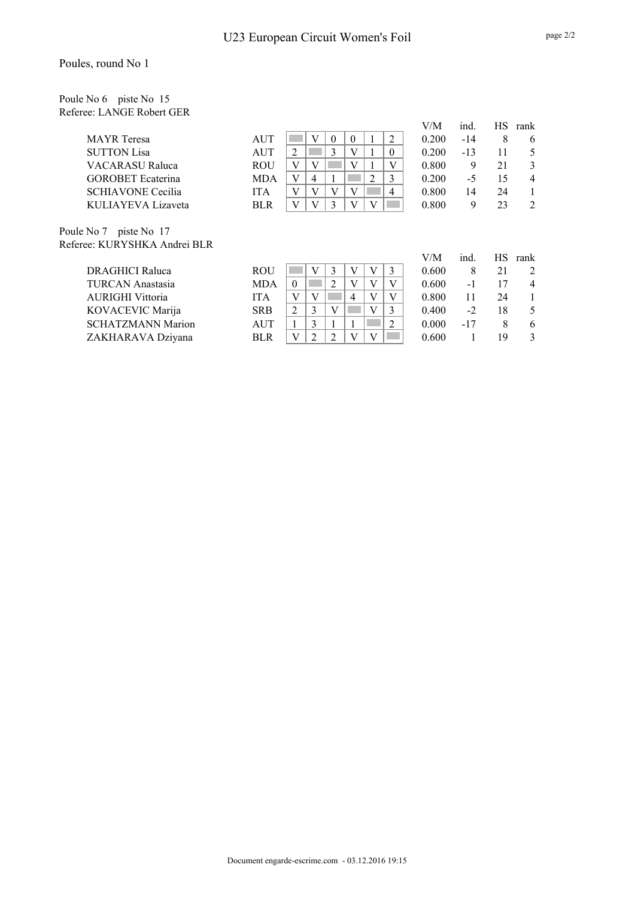#### Poules, round No 1

Poule No 6 piste No 15 Referee: LANGE Robert GER

|                                                                 |            |   |   |   |                | V/M   | ina.  |    | HS Tank |
|-----------------------------------------------------------------|------------|---|---|---|----------------|-------|-------|----|---------|
| <b>MAYR</b> Teresa                                              | <b>AUT</b> |   |   | O | $\overline{c}$ | 0.200 | $-14$ |    |         |
| <b>SUTTON Lisa</b>                                              | <b>AUT</b> | 2 |   |   | $\theta$       | 0.200 | $-13$ | 11 |         |
| <b>VACARASU Raluca</b>                                          | <b>ROU</b> |   |   |   | V              | 0.800 | 9     | 21 |         |
| <b>GOROBET</b> Ecaterina                                        | <b>MDA</b> |   | 4 |   | 3              | 0.200 | -5    | 15 |         |
| <b>SCHIAVONE</b> Cecilia                                        | <b>ITA</b> | V |   | V | 4              | 0.800 | 14    | 24 |         |
| KULIAYEVA Lizaveta                                              | <b>BLR</b> |   |   |   |                | 0.800 | 9     | 23 |         |
|                                                                 |            |   |   |   |                |       |       |    |         |
| $\mathbf{v}$ and $\mathbf{v}$ and $\mathbf{v}$ and $\mathbf{v}$ |            |   |   |   |                |       |       |    |         |

Poule No 7 piste No 17 Referee: KURYSHKA Andrei BLR

| <b>DRAGHICI Raluca</b>   | <b>ROU</b> |  |  |  | $\Omega$ |
|--------------------------|------------|--|--|--|----------|
| <b>TURCAN</b> Anastasia  | <b>MDA</b> |  |  |  | $\Omega$ |
| AURIGHI Vittoria         | <b>ITA</b> |  |  |  | $\Omega$ |
| KOVACEVIC Marija         | <b>SRB</b> |  |  |  | $\Omega$ |
| <b>SCHATZMANN Marion</b> | AUT        |  |  |  | $\Omega$ |
| ZAKHARAVA Dziyana        | <b>BLR</b> |  |  |  | $\Omega$ |

| V/M   | ind. | НS | rank |
|-------|------|----|------|
| 0.200 | -14  | 8  | 6    |
| 0.200 | -13  | 11 | 5    |
| 0.800 | q    | 21 | 3    |
| 0.200 | -5   | 15 | 4    |
| 0.800 | 14   | 24 | 1    |
| 0.800 | q    | 23 | 2    |

| V/M   | ind.  | <b>HS</b> | rank |
|-------|-------|-----------|------|
| 0.600 | 8     | 21        | 2    |
| 0.600 | -1    | 17        | 4    |
| 0.800 | 11    | 24        | 1    |
| 0.400 | $-2$  | 18        | 5    |
| 0.000 | $-17$ | 8         | 6    |
| 0.600 |       | 19        | 3    |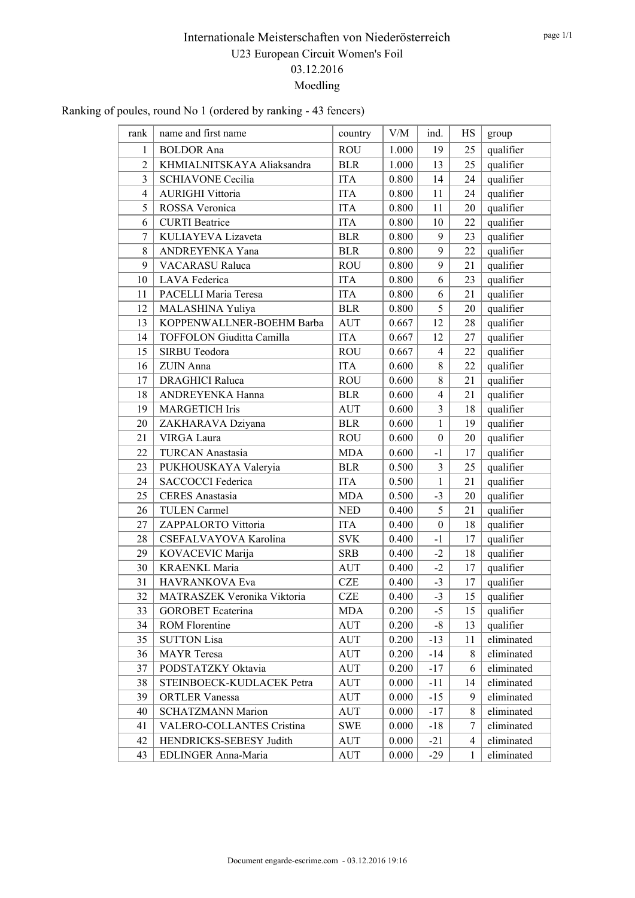#### Ranking of poules, round No 1 (ordered by ranking - 43 fencers)

| name and first name<br>rank                  | country    | V/M   | ind.             | HS             | group      |
|----------------------------------------------|------------|-------|------------------|----------------|------------|
|                                              |            |       |                  |                |            |
| <b>BOLDOR</b> Ana<br>$\mathbf{1}$            | <b>ROU</b> | 1.000 | 19               | 25             | qualifier  |
| KHMIALNITSKAYA Aliaksandra<br>$\overline{2}$ | <b>BLR</b> | 1.000 | 13               | 25             | qualifier  |
| 3<br><b>SCHIAVONE Cecilia</b>                | <b>ITA</b> | 0.800 | 14               | 24             | qualifier  |
| $\overline{4}$<br><b>AURIGHI Vittoria</b>    | <b>ITA</b> | 0.800 | 11               | 24             | qualifier  |
| 5<br>ROSSA Veronica                          | <b>ITA</b> | 0.800 | 11               | 20             | qualifier  |
| <b>CURTI</b> Beatrice<br>6                   | <b>ITA</b> | 0.800 | 10               | 22             | qualifier  |
| KULIAYEVA Lizaveta<br>7                      | <b>BLR</b> | 0.800 | 9                | 23             | qualifier  |
| 8<br>ANDREYENKA Yana                         | <b>BLR</b> | 0.800 | 9                | 22             | qualifier  |
| 9<br><b>VACARASU Raluca</b>                  | <b>ROU</b> | 0.800 | 9                | 21             | qualifier  |
| <b>LAVA</b> Federica<br>10                   | <b>ITA</b> | 0.800 | 6                | 23             | qualifier  |
| PACELLI Maria Teresa<br>11                   | <b>ITA</b> | 0.800 | 6                | 21             | qualifier  |
| 12<br>MALASHINA Yuliya                       | <b>BLR</b> | 0.800 | 5                | 20             | qualifier  |
| KOPPENWALLNER-BOEHM Barba<br>13              | <b>AUT</b> | 0.667 | 12               | 28             | qualifier  |
| 14<br>TOFFOLON Giuditta Camilla              | <b>ITA</b> | 0.667 | 12               | 27             | qualifier  |
| SIRBU Teodora<br>15                          | <b>ROU</b> | 0.667 | $\overline{4}$   | 22             | qualifier  |
| 16<br>ZUIN Anna                              | <b>ITA</b> | 0.600 | 8                | 22             | qualifier  |
| <b>DRAGHICI Raluca</b><br>17                 | <b>ROU</b> | 0.600 | 8                | 21             | qualifier  |
| 18<br>ANDREYENKA Hanna                       | <b>BLR</b> | 0.600 | $\overline{4}$   | 21             | qualifier  |
| <b>MARGETICH Iris</b><br>19                  | <b>AUT</b> | 0.600 | $\overline{3}$   | 18             | qualifier  |
| 20<br>ZAKHARAVA Dziyana                      | <b>BLR</b> | 0.600 | $\mathbf{1}$     | 19             | qualifier  |
| 21<br>VIRGA Laura                            | <b>ROU</b> | 0.600 | $\boldsymbol{0}$ | 20             | qualifier  |
| 22<br><b>TURCAN</b> Anastasia                | <b>MDA</b> | 0.600 | $-1$             | 17             | qualifier  |
| PUKHOUSKAYA Valeryia<br>23                   | <b>BLR</b> | 0.500 | 3                | 25             | qualifier  |
| <b>SACCOCCI Federica</b><br>24               | <b>ITA</b> | 0.500 | $\mathbf{1}$     | 21             | qualifier  |
| 25<br><b>CERES</b> Anastasia                 | <b>MDA</b> | 0.500 | $-3$             | 20             | qualifier  |
| 26<br><b>TULEN Carmel</b>                    | <b>NED</b> | 0.400 | 5                | 21             | qualifier  |
| 27<br>ZAPPALORTO Vittoria                    | <b>ITA</b> | 0.400 | $\mathbf{0}$     | 18             | qualifier  |
| 28<br>CSEFALVAYOVA Karolina                  | <b>SVK</b> | 0.400 | $-1$             | 17             | qualifier  |
| 29<br>KOVACEVIC Marija                       | <b>SRB</b> | 0.400 | $-2$             | 18             | qualifier  |
| <b>KRAENKL Maria</b><br>30                   | <b>AUT</b> | 0.400 | $-2$             | 17             | qualifier  |
| 31<br>HAVRANKOVA Eva                         | <b>CZE</b> | 0.400 | $-3$             | 17             | qualifier  |
| 32<br>MATRASZEK Veronika Viktoria            | <b>CZE</b> | 0.400 | $-3$             | 15             | qualifier  |
| <b>GOROBET</b> Ecaterina<br>33               | MDA        | 0.200 | $-5$             | 15             | qualifier  |
| ROM Florentine<br>34                         | <b>AUT</b> | 0.200 | $-8$             | 13             | qualifier  |
| <b>SUTTON Lisa</b><br>35                     | AUT        | 0.200 | $-13$            | 11             | eliminated |
| <b>MAYR</b> Teresa<br>36                     | AUT        | 0.200 | $-14$            | 8              | eliminated |
| 37<br>PODSTATZKY Oktavia                     | <b>AUT</b> | 0.200 | $-17$            | 6              | eliminated |
| 38<br>STEINBOECK-KUDLACEK Petra              | <b>AUT</b> | 0.000 | $-11$            | 14             | eliminated |
| 39<br><b>ORTLER Vanessa</b>                  | <b>AUT</b> | 0.000 | $-15$            | 9              | eliminated |
| <b>SCHATZMANN Marion</b><br>40               | <b>AUT</b> | 0.000 | $-17$            | 8              | eliminated |
| 41<br>VALERO-COLLANTES Cristina              | <b>SWE</b> | 0.000 | $-18$            | 7              | eliminated |
| 42<br>HENDRICKS-SEBESY Judith                | AUT        | 0.000 | $-21$            | $\overline{4}$ | eliminated |
| 43<br>EDLINGER Anna-Maria                    | <b>AUT</b> | 0.000 | $-29$            | 1              | eliminated |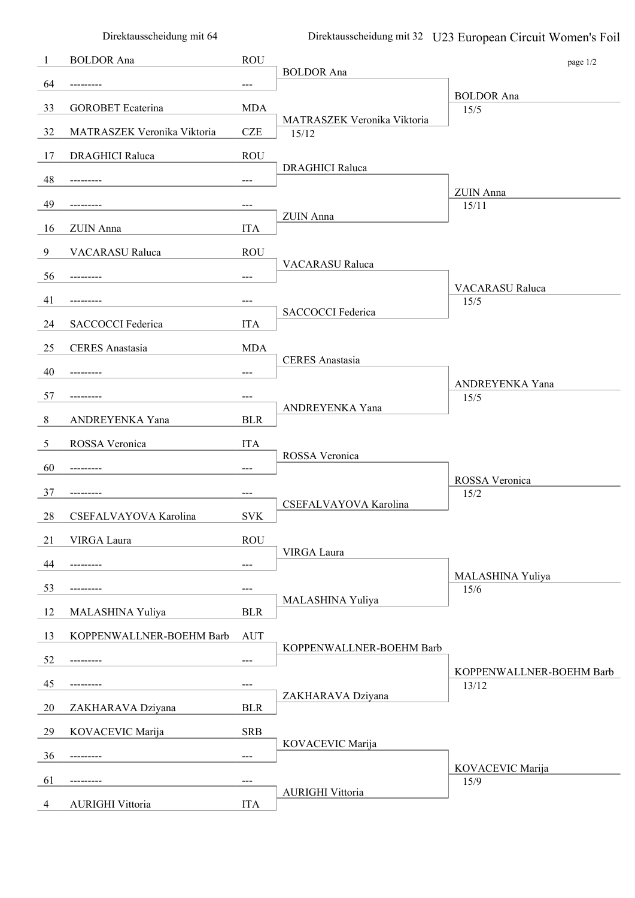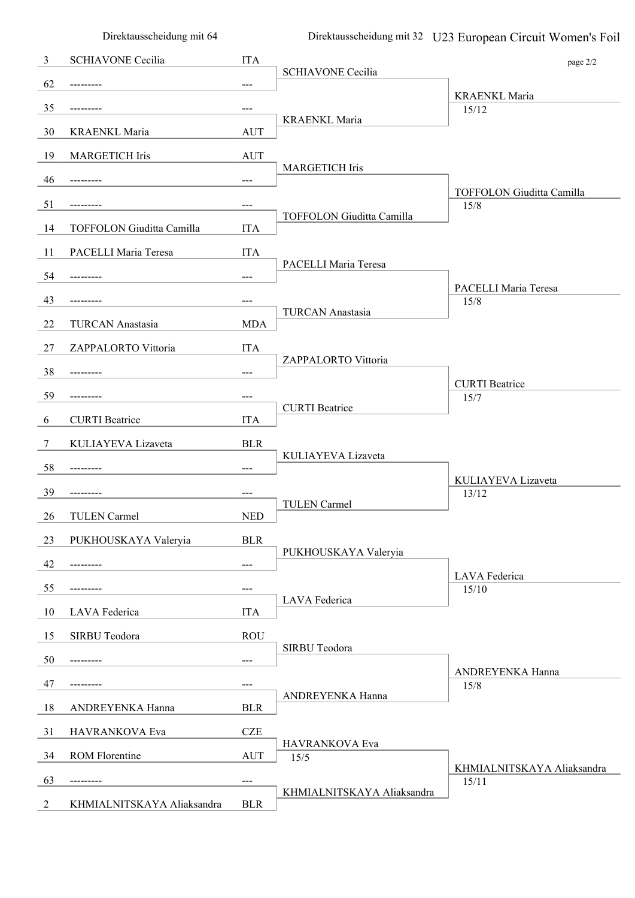Direktausscheidung mit 32 U23 European Circuit Women's Foil 3 SCHIAVONE Cecilia ITA page 2/2 Direktausscheidung mit 64 62 --------- --- 35 --------- --- 30 KRAENKL Maria AUT 19 MARGETICH Iris AUT 46 --------- --- 51 --------- --- 14 TOFFOLON Giuditta Camilla ITA 11 PACELLI Maria Teresa ITA 54 --------- --- 43 --------- --- 22 TURCAN Anastasia MDA 27 ZAPPALORTO Vittoria ITA 38 --------- --- 59 --------- --- 6 CURTI Beatrice ITA 7 KULIAYEVA Lizaveta BLR 58 --------- --- 39 --------- --- 26 TULEN Carmel NED 23 PUKHOUSKAYA Valeryia BLR 42 --------- --- 55 --------- --- 10 LAVA Federica ITA 15 SIRBU Teodora ROU 50 --------- --- 47 --------- --- 18 ANDREYENKA Hanna BLR 31 HAVRANKOVA Eva<br>CZE 34 ROM Florentine AUT 15/5 63 --------- --- 2 KHMIALNITSKAYA Aliaksandra BLR SCHIAVONE Cecilia KRAENKL Maria 15/12 MARGETICH Iris TOFFOLON Giuditta Camilla 15/8 PACELLI Maria Teresa TURCAN Anastasia 15/8 ZAPPALORTO Vittoria CURTI Beatrice 15/7 KULIAYEVA Lizaveta TULEN Carmel 13/12 PUKHOUSKAYA Valeryia LAVA Federica 15/10 SIRBU Teodora ANDREYENKA Hanna 15/8 HAVRANKOVA Eva KHMIALNITSKAYA Aliaksandra 15/11 KRAENKL Maria TOFFOLON Giuditta Camilla PACELLI Maria Teresa CURTI Beatrice KULIAYEVA Lizaveta LAVA Federica ANDREYENKA Hanna KHMIALNITSKAYA Aliaksandra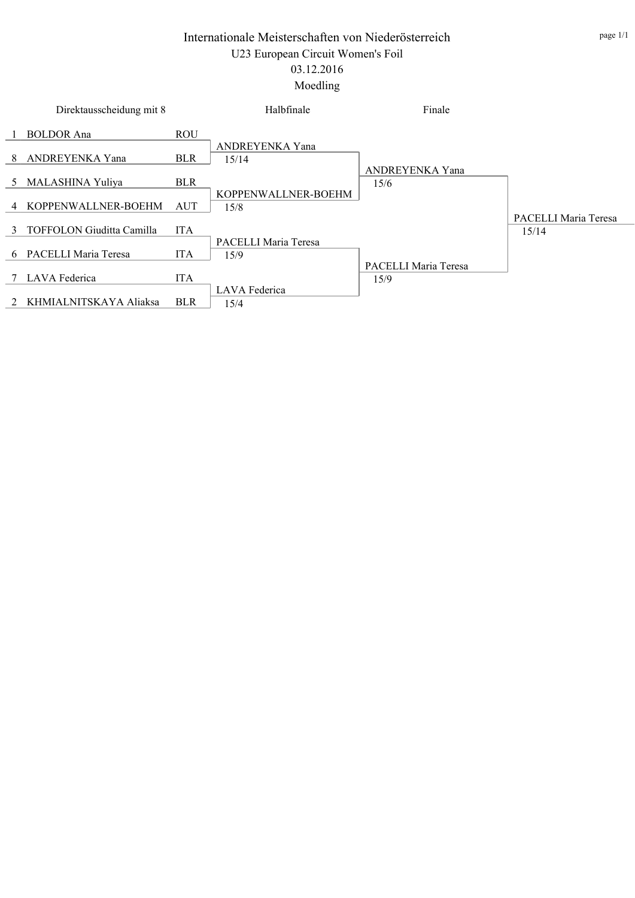| Direktausscheidung mit 8    |            | Halbfinale                   | Finale                       |                               |
|-----------------------------|------------|------------------------------|------------------------------|-------------------------------|
| 1 BOLDOR Ana                | <b>ROU</b> | ANDREYENKA Yana              |                              |                               |
| 8 ANDREYENKA Yana           | <b>BLR</b> | 15/14                        |                              |                               |
| 5 MALASHINA Yuliya          | <b>BLR</b> |                              | ANDREYENKA Yana<br>15/6      |                               |
| 4 KOPPENWALLNER-BOEHM       | <b>AUT</b> | KOPPENWALLNER-BOEHM<br>15/8  |                              |                               |
| 3 TOFFOLON Giuditta Camilla | <b>ITA</b> |                              |                              | PACELLI Maria Teresa<br>15/14 |
| 6 PACELLI Maria Teresa      | <b>ITA</b> | PACELLI Maria Teresa<br>15/9 |                              |                               |
| 7 LAVA Federica             | <b>ITA</b> |                              | PACELLI Maria Teresa<br>15/9 |                               |
| 2 KHMIALNITSKAYA Aliaksa    | <b>BLR</b> | LAVA Federica<br>15/4        |                              |                               |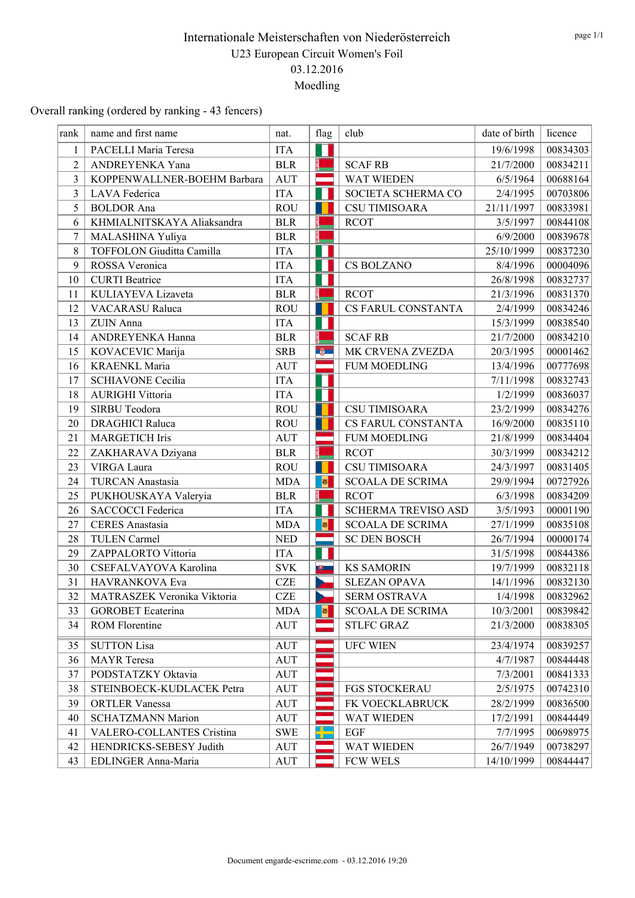Overall ranking (ordered by ranking - 43 fencers)

| rank           | name and first name              | nat.       | flag         | club                       | date of birth | licence  |
|----------------|----------------------------------|------------|--------------|----------------------------|---------------|----------|
| 1              | PACELLI Maria Teresa             | <b>ITA</b> |              |                            | 19/6/1998     | 00834303 |
| $\overline{c}$ | ANDREYENKA Yana                  | <b>BLR</b> |              | <b>SCAF RB</b>             | 21/7/2000     | 00834211 |
| 3              | KOPPENWALLNER-BOEHM Barbara      | <b>AUT</b> |              | <b>WAT WIEDEN</b>          | 6/5/1964      | 00688164 |
| 3              | LAVA Federica                    | <b>ITA</b> |              | SOCIETA SCHERMA CO         | 2/4/1995      | 00703806 |
| 5              | <b>BOLDOR</b> Ana                | <b>ROU</b> |              | <b>CSU TIMISOARA</b>       | 21/11/1997    | 00833981 |
| 6              | KHMIALNITSKAYA Aliaksandra       | <b>BLR</b> |              | <b>RCOT</b>                | 3/5/1997      | 00844108 |
| 7              | MALASHINA Yuliya                 | <b>BLR</b> |              |                            | 6/9/2000      | 00839678 |
| 8              | TOFFOLON Giuditta Camilla        | <b>ITA</b> |              |                            | 25/10/1999    | 00837230 |
| 9              | ROSSA Veronica                   | <b>ITA</b> |              | <b>CS BOLZANO</b>          | 8/4/1996      | 00004096 |
| 10             | <b>CURTI</b> Beatrice            | <b>ITA</b> |              |                            | 26/8/1998     | 00832737 |
| 11             | KULIAYEVA Lizaveta               | <b>BLR</b> |              | <b>RCOT</b>                | 21/3/1996     | 00831370 |
| 12             | <b>VACARASU Raluca</b>           | <b>ROU</b> |              | CS FARUL CONSTANTA         | 2/4/1999      | 00834246 |
| 13             | ZUIN Anna                        | <b>ITA</b> |              |                            | 15/3/1999     | 00838540 |
| 14             | ANDREYENKA Hanna                 | <b>BLR</b> |              | <b>SCAF RB</b>             | 21/7/2000     | 00834210 |
| 15             | KOVACEVIC Marija                 | <b>SRB</b> | <b>B</b>     | MK CRVENA ZVEZDA           | 20/3/1995     | 00001462 |
| 16             | <b>KRAENKL</b> Maria             | <b>AUT</b> |              | <b>FUM MOEDLING</b>        | 13/4/1996     | 00777698 |
| 17             | <b>SCHIAVONE Cecilia</b>         | <b>ITA</b> |              |                            | 7/11/1998     | 00832743 |
| 18             | <b>AURIGHI Vittoria</b>          | <b>ITA</b> |              |                            | 1/2/1999      | 00836037 |
| 19             | SIRBU Teodora                    | <b>ROU</b> |              | <b>CSU TIMISOARA</b>       | 23/2/1999     | 00834276 |
| 20             | <b>DRAGHICI Raluca</b>           | <b>ROU</b> |              | CS FARUL CONSTANTA         | 16/9/2000     | 00835110 |
| 21             | <b>MARGETICH Iris</b>            | <b>AUT</b> |              | <b>FUM MOEDLING</b>        | 21/8/1999     | 00834404 |
| 22             | ZAKHARAVA Dziyana                | <b>BLR</b> |              | <b>RCOT</b>                | 30/3/1999     | 00834212 |
| 23             | VIRGA Laura                      | <b>ROU</b> |              | <b>CSU TIMISOARA</b>       | 24/3/1997     | 00831405 |
| 24             | TURCAN Anastasia                 | <b>MDA</b> | ø            | <b>SCOALA DE SCRIMA</b>    | 29/9/1994     | 00727926 |
| 25             | PUKHOUSKAYA Valeryia             | <b>BLR</b> |              | <b>RCOT</b>                | 6/3/1998      | 00834209 |
| 26             | <b>SACCOCCI Federica</b>         | <b>ITA</b> |              | <b>SCHERMA TREVISO ASD</b> | 3/5/1993      | 00001190 |
| 27             | <b>CERES</b> Anastasia           | <b>MDA</b> | B            | <b>SCOALA DE SCRIMA</b>    | 27/1/1999     | 00835108 |
| 28             | <b>TULEN</b> Carmel              | <b>NED</b> |              | <b>SC DEN BOSCH</b>        | 26/7/1994     | 00000174 |
| 29             | ZAPPALORTO Vittoria              | <b>ITA</b> | П            |                            | 31/5/1998     | 00844386 |
| 30             | CSEFALVAYOVA Karolina            | <b>SVK</b> | $\mathbf{e}$ | <b>KS SAMORIN</b>          | 19/7/1999     | 00832118 |
| 31             | HAVRANKOVA Eva                   | <b>CZE</b> |              | <b>SLEZAN OPAVA</b>        | 14/1/1996     | 00832130 |
| 32             | MATRASZEK Veronika Viktoria      | <b>CZE</b> |              | <b>SERM OSTRAVA</b>        | 1/4/1998      | 00832962 |
| 33             | <b>GOROBET</b> Ecaterina         | <b>MDA</b> | $\bullet$    | <b>SCOALA DE SCRIMA</b>    | 10/3/2001     | 00839842 |
| 34             | <b>ROM Florentine</b>            | <b>AUT</b> |              | <b>STLFC GRAZ</b>          | 21/3/2000     | 00838305 |
| 35             | <b>SUTTON Lisa</b>               | <b>AUT</b> |              | <b>UFC WIEN</b>            | 23/4/1974     | 00839257 |
| 36             | <b>MAYR</b> Teresa               | <b>AUT</b> |              |                            | 4/7/1987      | 00844448 |
| 37             | PODSTATZKY Oktavia               | AUT        |              |                            | 7/3/2001      | 00841333 |
| 38             | STEINBOECK-KUDLACEK Petra        | <b>AUT</b> |              | <b>FGS STOCKERAU</b>       | 2/5/1975      | 00742310 |
| 39             | <b>ORTLER Vanessa</b>            | AUT        |              | FK VOECKLABRUCK            | 28/2/1999     | 00836500 |
| 40             | <b>SCHATZMANN Marion</b>         | <b>AUT</b> |              | WAT WIEDEN                 | 17/2/1991     | 00844449 |
| 41             | <b>VALERO-COLLANTES Cristina</b> | <b>SWE</b> |              | EGF                        | 7/7/1995      | 00698975 |
| 42             | HENDRICKS-SEBESY Judith          | <b>AUT</b> |              | WAT WIEDEN                 | 26/7/1949     | 00738297 |
| 43             | EDLINGER Anna-Maria              | <b>AUT</b> |              | <b>FCW WELS</b>            | 14/10/1999    | 00844447 |